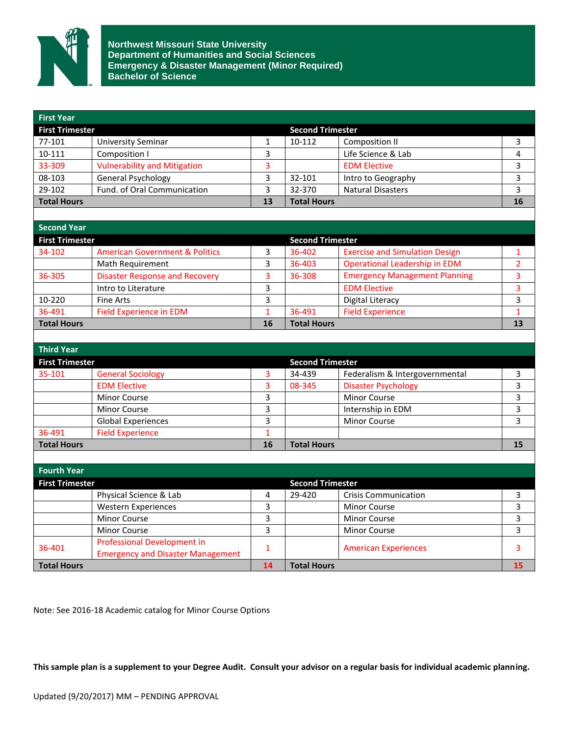

**Northwest Missouri State University Department of Humanities and Social Sciences Emergency & Disaster Management (Minor Required) Bachelor of Science**

| <b>First Year</b>      |                                           |                         |                         |                                       |                |
|------------------------|-------------------------------------------|-------------------------|-------------------------|---------------------------------------|----------------|
| <b>First Trimester</b> |                                           |                         | <b>Second Trimester</b> |                                       |                |
| 77-101                 | <b>University Seminar</b>                 | $\mathbf{1}$            | 10-112                  | <b>Composition II</b>                 | 3              |
| 10-111                 | Composition I                             | 3                       |                         | Life Science & Lab                    | 4              |
| 33-309                 | <b>Vulnerability and Mitigation</b>       | 3                       |                         | <b>EDM Elective</b>                   | 3              |
| 08-103                 | <b>General Psychology</b>                 | 3                       | 32-101                  | Intro to Geography                    | 3              |
| 29-102                 | Fund. of Oral Communication               | 3                       | 32-370                  | <b>Natural Disasters</b>              | 3              |
| <b>Total Hours</b>     |                                           | 13                      | <b>Total Hours</b>      |                                       | 16             |
|                        |                                           |                         |                         |                                       |                |
| <b>Second Year</b>     |                                           |                         |                         |                                       |                |
| <b>First Trimester</b> |                                           |                         | <b>Second Trimester</b> |                                       |                |
| 34-102                 | <b>American Government &amp; Politics</b> | 3                       | 36-402                  | <b>Exercise and Simulation Design</b> | 1              |
|                        | Math Requirement                          | 3                       | 36-403                  | Operational Leadership in EDM         | $\overline{2}$ |
| 36-305                 | <b>Disaster Response and Recovery</b>     | 3                       | 36-308                  | <b>Emergency Management Planning</b>  | 3              |
|                        | Intro to Literature                       | 3                       |                         | <b>EDM Elective</b>                   | 3              |
| 10-220                 | <b>Fine Arts</b>                          | 3                       |                         | Digital Literacy                      | 3              |
| 36-491                 | <b>Field Experience in EDM</b>            | $\mathbf{1}$            | 36-491                  | <b>Field Experience</b>               | $\mathbf{1}$   |
| <b>Total Hours</b>     |                                           | 16                      | <b>Total Hours</b>      |                                       | 13             |
|                        |                                           |                         |                         |                                       |                |
| <b>Third Year</b>      |                                           |                         |                         |                                       |                |
| <b>First Trimester</b> |                                           |                         | <b>Second Trimester</b> |                                       |                |
| 35-101                 | <b>General Sociology</b>                  | 3                       | 34-439                  | Federalism & Intergovernmental        | 3              |
|                        | <b>EDM Elective</b>                       | 3                       | 08-345                  | <b>Disaster Psychology</b>            | 3              |
|                        | <b>Minor Course</b>                       | 3                       |                         | <b>Minor Course</b>                   | 3              |
|                        | <b>Minor Course</b>                       | 3                       |                         | Internship in EDM                     | 3              |
|                        | <b>Global Experiences</b>                 | 3                       |                         | Minor Course                          | 3              |
| 36-491                 | <b>Field Experience</b>                   | $\overline{1}$          |                         |                                       |                |
| <b>Total Hours</b>     |                                           | 16                      | <b>Total Hours</b>      |                                       | 15             |
|                        |                                           |                         |                         |                                       |                |
| <b>Fourth Year</b>     |                                           |                         |                         |                                       |                |
| <b>First Trimester</b> |                                           |                         | <b>Second Trimester</b> |                                       |                |
|                        | Physical Science & Lab                    | 4                       | 29-420                  | <b>Crisis Communication</b>           | 3              |
|                        | <b>Western Experiences</b>                | 3                       |                         | <b>Minor Course</b>                   | 3              |
|                        | <b>Minor Course</b>                       | 3                       |                         | <b>Minor Course</b>                   | 3              |
|                        | Minor Course                              | $\overline{\mathbf{3}}$ |                         | <b>Minor Course</b>                   | 3              |
| 36-401                 | <b>Professional Development in</b>        | $\mathbf{1}$            |                         |                                       | 3              |
|                        | <b>Emergency and Disaster Management</b>  |                         |                         | <b>American Experiences</b>           |                |
| <b>Total Hours</b>     |                                           | 14                      | <b>Total Hours</b>      |                                       | 15             |

Note: See 2016-18 Academic catalog for Minor Course Options

**This sample plan is a supplement to your Degree Audit. Consult your advisor on a regular basis for individual academic planning.**